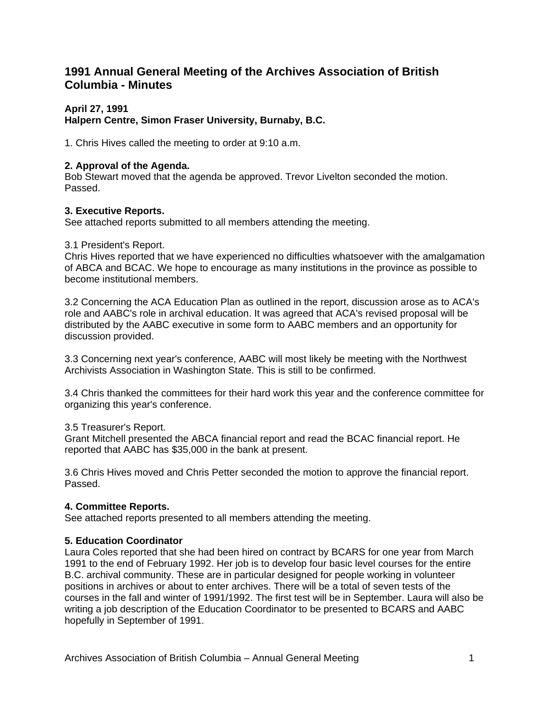# **1991 Annual General Meeting of the Archives Association of British Columbia - Minutes**

# **April 27, 1991**

# **Halpern Centre, Simon Fraser University, Burnaby, B.C.**

1. Chris Hives called the meeting to order at 9:10 a.m.

# **2. Approval of the Agenda.**

Bob Stewart moved that the agenda be approved. Trevor Livelton seconded the motion. Passed.

# **3. Executive Reports.**

See attached reports submitted to all members attending the meeting.

## 3.1 President's Report.

Chris Hives reported that we have experienced no difficulties whatsoever with the amalgamation of ABCA and BCAC. We hope to encourage as many institutions in the province as possible to become institutional members.

3.2 Concerning the ACA Education Plan as outlined in the report, discussion arose as to ACA's role and AABC's role in archival education. It was agreed that ACA's revised proposal will be distributed by the AABC executive in some form to AABC members and an opportunity for discussion provided.

3.3 Concerning next year's conference, AABC will most likely be meeting with the Northwest Archivists Association in Washington State. This is still to be confirmed.

3.4 Chris thanked the committees for their hard work this year and the conference committee for organizing this year's conference.

3.5 Treasurer's Report.

Grant Mitchell presented the ABCA financial report and read the BCAC financial report. He reported that AABC has \$35,000 in the bank at present.

3.6 Chris Hives moved and Chris Petter seconded the motion to approve the financial report. Passed.

## **4. Committee Reports.**

See attached reports presented to all members attending the meeting.

## **5. Education Coordinator**

Laura Coles reported that she had been hired on contract by BCARS for one year from March 1991 to the end of February 1992. Her job is to develop four basic level courses for the entire B.C. archival community. These are in particular designed for people working in volunteer positions in archives or about to enter archives. There will be a total of seven tests of the courses in the fall and winter of 1991/1992. The first test will be in September. Laura will also be writing a job description of the Education Coordinator to be presented to BCARS and AABC hopefully in September of 1991.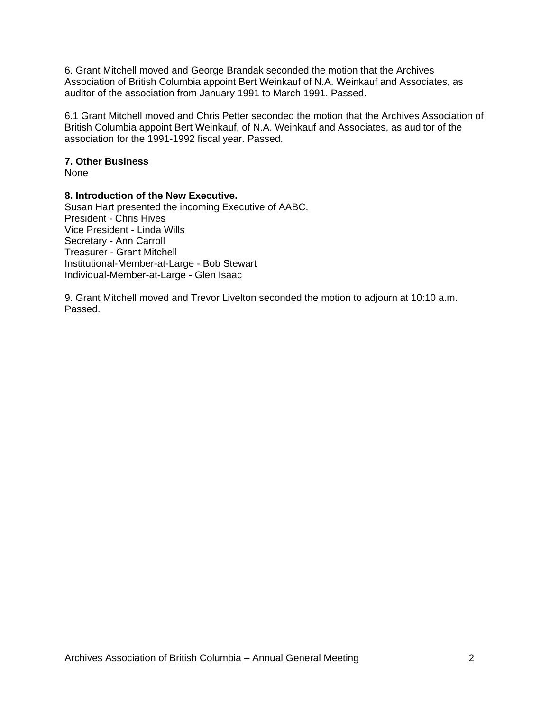6. Grant Mitchell moved and George Brandak seconded the motion that the Archives Association of British Columbia appoint Bert Weinkauf of N.A. Weinkauf and Associates, as auditor of the association from January 1991 to March 1991. Passed.

6.1 Grant Mitchell moved and Chris Petter seconded the motion that the Archives Association of British Columbia appoint Bert Weinkauf, of N.A. Weinkauf and Associates, as auditor of the association for the 1991-1992 fiscal year. Passed.

#### **7. Other Business**

None

#### **8. Introduction of the New Executive.**

Susan Hart presented the incoming Executive of AABC. President - Chris Hives Vice President - Linda Wills Secretary - Ann Carroll Treasurer - Grant Mitchell Institutional-Member-at-Large - Bob Stewart Individual-Member-at-Large - Glen Isaac

9. Grant Mitchell moved and Trevor Livelton seconded the motion to adjourn at 10:10 a.m. Passed.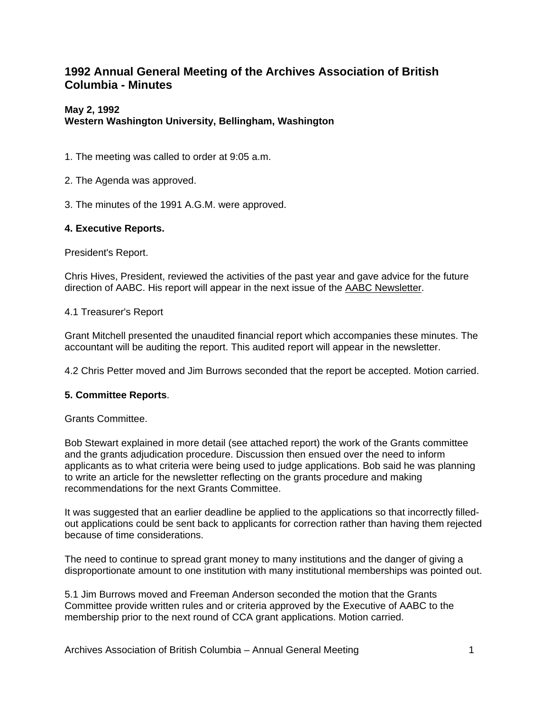# **1992 Annual General Meeting of the Archives Association of British Columbia - Minutes**

# **May 2, 1992**

# **Western Washington University, Bellingham, Washington**

- 1. The meeting was called to order at 9:05 a.m.
- 2. The Agenda was approved.
- 3. The minutes of the 1991 A.G.M. were approved.

# **4. Executive Reports.**

President's Report.

Chris Hives, President, reviewed the activities of the past year and gave advice for the future direction of AABC. His report will appear in the next issue of the AABC Newsletter.

## 4.1 Treasurer's Report

Grant Mitchell presented the unaudited financial report which accompanies these minutes. The accountant will be auditing the report. This audited report will appear in the newsletter.

4.2 Chris Petter moved and Jim Burrows seconded that the report be accepted. Motion carried.

## **5. Committee Reports**.

Grants Committee.

Bob Stewart explained in more detail (see attached report) the work of the Grants committee and the grants adjudication procedure. Discussion then ensued over the need to inform applicants as to what criteria were being used to judge applications. Bob said he was planning to write an article for the newsletter reflecting on the grants procedure and making recommendations for the next Grants Committee.

It was suggested that an earlier deadline be applied to the applications so that incorrectly filledout applications could be sent back to applicants for correction rather than having them rejected because of time considerations.

The need to continue to spread grant money to many institutions and the danger of giving a disproportionate amount to one institution with many institutional memberships was pointed out.

5.1 Jim Burrows moved and Freeman Anderson seconded the motion that the Grants Committee provide written rules and or criteria approved by the Executive of AABC to the membership prior to the next round of CCA grant applications. Motion carried.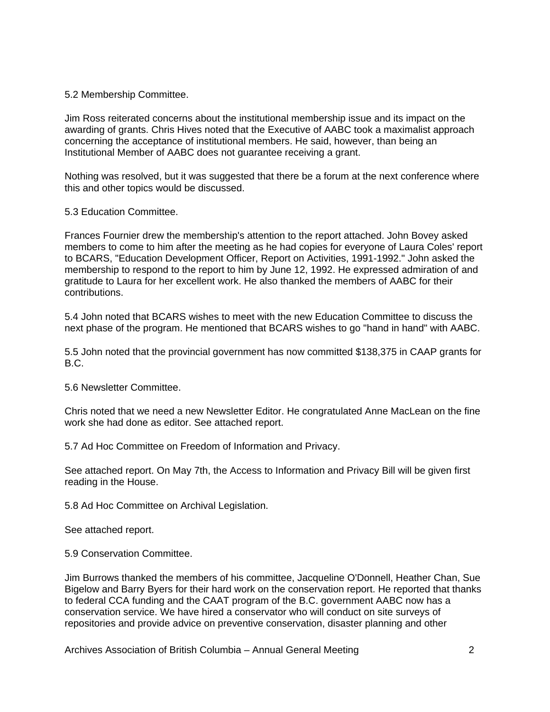5.2 Membership Committee.

Jim Ross reiterated concerns about the institutional membership issue and its impact on the awarding of grants. Chris Hives noted that the Executive of AABC took a maximalist approach concerning the acceptance of institutional members. He said, however, than being an Institutional Member of AABC does not guarantee receiving a grant.

Nothing was resolved, but it was suggested that there be a forum at the next conference where this and other topics would be discussed.

5.3 Education Committee.

Frances Fournier drew the membership's attention to the report attached. John Bovey asked members to come to him after the meeting as he had copies for everyone of Laura Coles' report to BCARS, "Education Development Officer, Report on Activities, 1991-1992." John asked the membership to respond to the report to him by June 12, 1992. He expressed admiration of and gratitude to Laura for her excellent work. He also thanked the members of AABC for their contributions.

5.4 John noted that BCARS wishes to meet with the new Education Committee to discuss the next phase of the program. He mentioned that BCARS wishes to go "hand in hand" with AABC.

5.5 John noted that the provincial government has now committed \$138,375 in CAAP grants for B.C.

5.6 Newsletter Committee.

Chris noted that we need a new Newsletter Editor. He congratulated Anne MacLean on the fine work she had done as editor. See attached report.

5.7 Ad Hoc Committee on Freedom of Information and Privacy.

See attached report. On May 7th, the Access to Information and Privacy Bill will be given first reading in the House.

5.8 Ad Hoc Committee on Archival Legislation.

See attached report.

5.9 Conservation Committee.

Jim Burrows thanked the members of his committee, Jacqueline O'Donnell, Heather Chan, Sue Bigelow and Barry Byers for their hard work on the conservation report. He reported that thanks to federal CCA funding and the CAAT program of the B.C. government AABC now has a conservation service. We have hired a conservator who will conduct on site surveys of repositories and provide advice on preventive conservation, disaster planning and other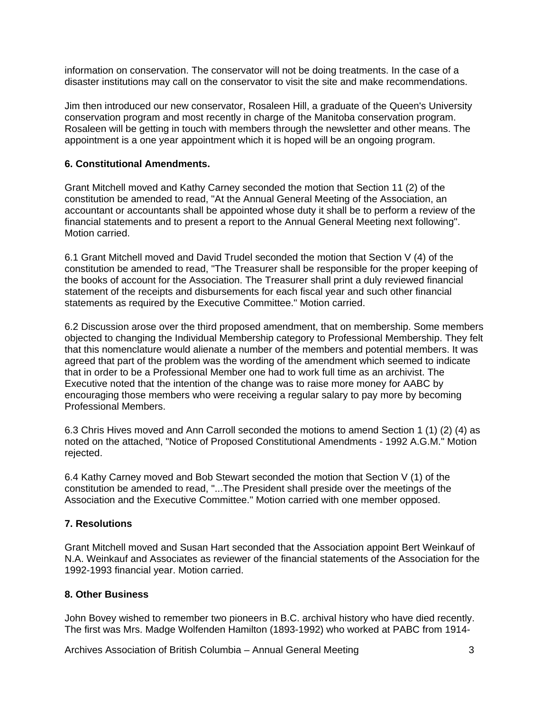information on conservation. The conservator will not be doing treatments. In the case of a disaster institutions may call on the conservator to visit the site and make recommendations.

Jim then introduced our new conservator, Rosaleen Hill, a graduate of the Queen's University conservation program and most recently in charge of the Manitoba conservation program. Rosaleen will be getting in touch with members through the newsletter and other means. The appointment is a one year appointment which it is hoped will be an ongoing program.

## **6. Constitutional Amendments.**

Grant Mitchell moved and Kathy Carney seconded the motion that Section 11 (2) of the constitution be amended to read, "At the Annual General Meeting of the Association, an accountant or accountants shall be appointed whose duty it shall be to perform a review of the financial statements and to present a report to the Annual General Meeting next following". Motion carried.

6.1 Grant Mitchell moved and David Trudel seconded the motion that Section V (4) of the constitution be amended to read, "The Treasurer shall be responsible for the proper keeping of the books of account for the Association. The Treasurer shall print a duly reviewed financial statement of the receipts and disbursements for each fiscal year and such other financial statements as required by the Executive Committee." Motion carried.

6.2 Discussion arose over the third proposed amendment, that on membership. Some members objected to changing the Individual Membership category to Professional Membership. They felt that this nomenclature would alienate a number of the members and potential members. It was agreed that part of the problem was the wording of the amendment which seemed to indicate that in order to be a Professional Member one had to work full time as an archivist. The Executive noted that the intention of the change was to raise more money for AABC by encouraging those members who were receiving a regular salary to pay more by becoming Professional Members.

6.3 Chris Hives moved and Ann Carroll seconded the motions to amend Section 1 (1) (2) (4) as noted on the attached, "Notice of Proposed Constitutional Amendments - 1992 A.G.M." Motion rejected.

6.4 Kathy Carney moved and Bob Stewart seconded the motion that Section V (1) of the constitution be amended to read, "...The President shall preside over the meetings of the Association and the Executive Committee." Motion carried with one member opposed.

# **7. Resolutions**

Grant Mitchell moved and Susan Hart seconded that the Association appoint Bert Weinkauf of N.A. Weinkauf and Associates as reviewer of the financial statements of the Association for the 1992-1993 financial year. Motion carried.

## **8. Other Business**

John Bovey wished to remember two pioneers in B.C. archival history who have died recently. The first was Mrs. Madge Wolfenden Hamilton (1893-1992) who worked at PABC from 1914-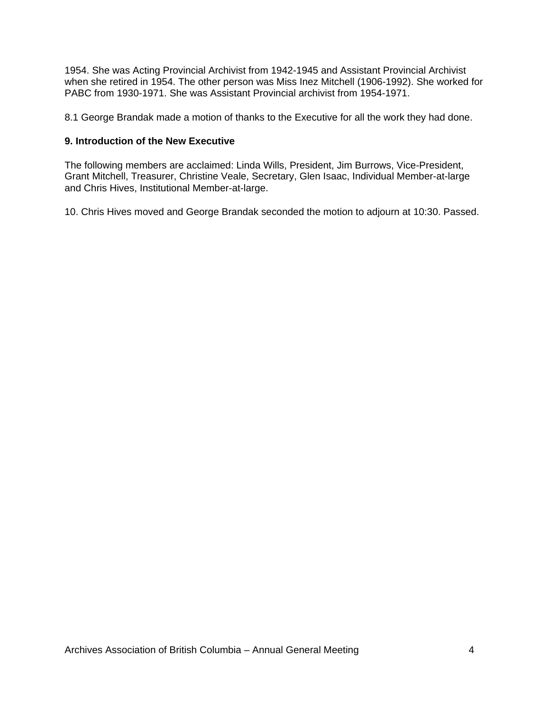1954. She was Acting Provincial Archivist from 1942-1945 and Assistant Provincial Archivist when she retired in 1954. The other person was Miss Inez Mitchell (1906-1992). She worked for PABC from 1930-1971. She was Assistant Provincial archivist from 1954-1971.

8.1 George Brandak made a motion of thanks to the Executive for all the work they had done.

#### **9. Introduction of the New Executive**

The following members are acclaimed: Linda Wills, President, Jim Burrows, Vice-President, Grant Mitchell, Treasurer, Christine Veale, Secretary, Glen Isaac, Individual Member-at-large and Chris Hives, Institutional Member-at-large.

10. Chris Hives moved and George Brandak seconded the motion to adjourn at 10:30. Passed.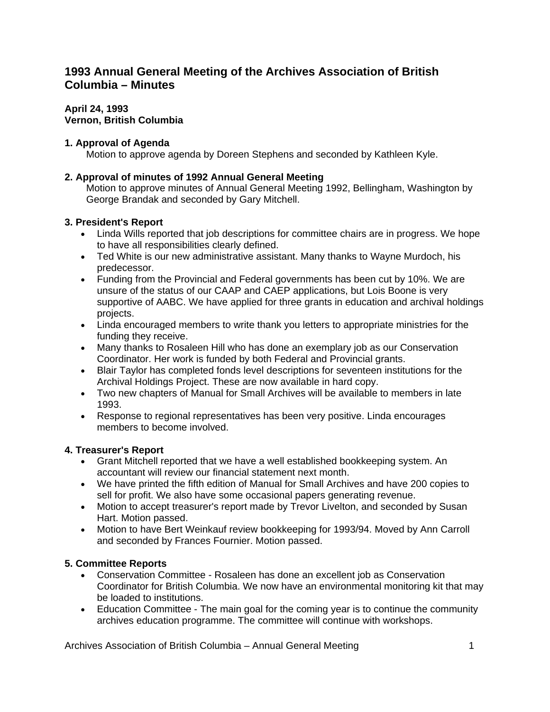# **1993 Annual General Meeting of the Archives Association of British Columbia – Minutes**

#### **April 24, 1993 Vernon, British Columbia**

# **1. Approval of Agenda**

Motion to approve agenda by Doreen Stephens and seconded by Kathleen Kyle.

# **2. Approval of minutes of 1992 Annual General Meeting**

Motion to approve minutes of Annual General Meeting 1992, Bellingham, Washington by George Brandak and seconded by Gary Mitchell.

# **3. President's Report**

- Linda Wills reported that job descriptions for committee chairs are in progress. We hope to have all responsibilities clearly defined.
- Ted White is our new administrative assistant. Many thanks to Wayne Murdoch, his predecessor.
- Funding from the Provincial and Federal governments has been cut by 10%. We are unsure of the status of our CAAP and CAEP applications, but Lois Boone is very supportive of AABC. We have applied for three grants in education and archival holdings projects.
- Linda encouraged members to write thank you letters to appropriate ministries for the funding they receive.
- Many thanks to Rosaleen Hill who has done an exemplary job as our Conservation Coordinator. Her work is funded by both Federal and Provincial grants.
- Blair Taylor has completed fonds level descriptions for seventeen institutions for the Archival Holdings Project. These are now available in hard copy.
- Two new chapters of Manual for Small Archives will be available to members in late 1993.
- Response to regional representatives has been very positive. Linda encourages members to become involved.

# **4. Treasurer's Report**

- Grant Mitchell reported that we have a well established bookkeeping system. An accountant will review our financial statement next month.
- We have printed the fifth edition of Manual for Small Archives and have 200 copies to sell for profit. We also have some occasional papers generating revenue.
- Motion to accept treasurer's report made by Trevor Livelton, and seconded by Susan Hart. Motion passed.
- Motion to have Bert Weinkauf review bookkeeping for 1993/94. Moved by Ann Carroll and seconded by Frances Fournier. Motion passed.

# **5. Committee Reports**

- Conservation Committee Rosaleen has done an excellent job as Conservation Coordinator for British Columbia. We now have an environmental monitoring kit that may be loaded to institutions.
- Education Committee The main goal for the coming year is to continue the community archives education programme. The committee will continue with workshops.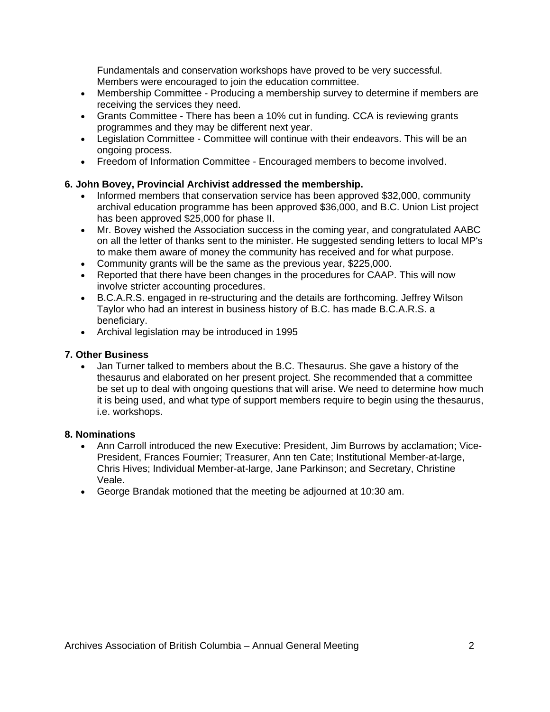Fundamentals and conservation workshops have proved to be very successful. Members were encouraged to join the education committee.

- Membership Committee Producing a membership survey to determine if members are receiving the services they need.
- Grants Committee There has been a 10% cut in funding. CCA is reviewing grants programmes and they may be different next year.
- Legislation Committee Committee will continue with their endeavors. This will be an ongoing process.
- Freedom of Information Committee Encouraged members to become involved.

# **6. John Bovey, Provincial Archivist addressed the membership.**

- Informed members that conservation service has been approved \$32,000, community archival education programme has been approved \$36,000, and B.C. Union List project has been approved \$25,000 for phase II.
- Mr. Bovey wished the Association success in the coming year, and congratulated AABC on all the letter of thanks sent to the minister. He suggested sending letters to local MP's to make them aware of money the community has received and for what purpose.
- Community grants will be the same as the previous year, \$225,000.
- Reported that there have been changes in the procedures for CAAP. This will now involve stricter accounting procedures.
- B.C.A.R.S. engaged in re-structuring and the details are forthcoming. Jeffrey Wilson Taylor who had an interest in business history of B.C. has made B.C.A.R.S. a beneficiary.
- Archival legislation may be introduced in 1995

## **7. Other Business**

• Jan Turner talked to members about the B.C. Thesaurus. She gave a history of the thesaurus and elaborated on her present project. She recommended that a committee be set up to deal with ongoing questions that will arise. We need to determine how much it is being used, and what type of support members require to begin using the thesaurus, i.e. workshops.

## **8. Nominations**

- Ann Carroll introduced the new Executive: President, Jim Burrows by acclamation; Vice-President, Frances Fournier; Treasurer, Ann ten Cate; Institutional Member-at-large, Chris Hives; Individual Member-at-large, Jane Parkinson; and Secretary, Christine Veale.
- George Brandak motioned that the meeting be adjourned at 10:30 am.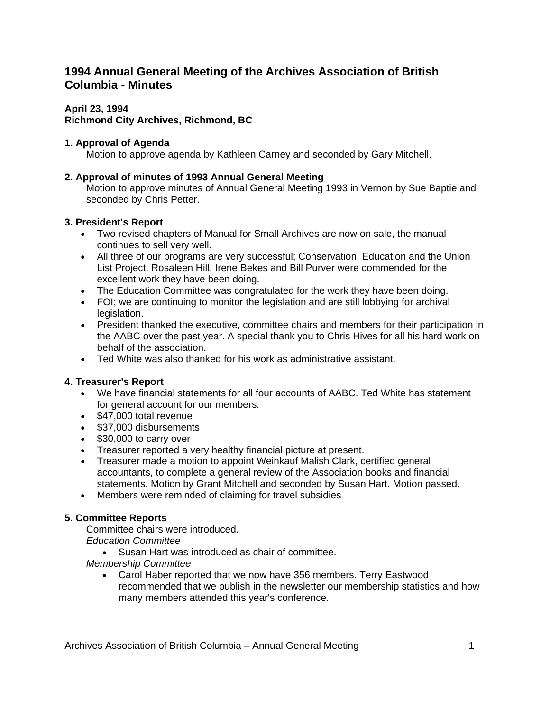# **1994 Annual General Meeting of the Archives Association of British Columbia - Minutes**

# **April 23, 1994**

# **Richmond City Archives, Richmond, BC**

# **1. Approval of Agenda**

Motion to approve agenda by Kathleen Carney and seconded by Gary Mitchell.

# **2. Approval of minutes of 1993 Annual General Meeting**

Motion to approve minutes of Annual General Meeting 1993 in Vernon by Sue Baptie and seconded by Chris Petter.

# **3. President's Report**

- Two revised chapters of Manual for Small Archives are now on sale, the manual continues to sell very well.
- All three of our programs are very successful; Conservation, Education and the Union List Project. Rosaleen Hill, Irene Bekes and Bill Purver were commended for the excellent work they have been doing.
- The Education Committee was congratulated for the work they have been doing.
- FOI; we are continuing to monitor the legislation and are still lobbying for archival legislation.
- President thanked the executive, committee chairs and members for their participation in the AABC over the past year. A special thank you to Chris Hives for all his hard work on behalf of the association.
- Ted White was also thanked for his work as administrative assistant.

# **4. Treasurer's Report**

- We have financial statements for all four accounts of AABC. Ted White has statement for general account for our members.
- \$47,000 total revenue
- \$37,000 disbursements
- \$30,000 to carry over
- Treasurer reported a very healthy financial picture at present.
- Treasurer made a motion to appoint Weinkauf Malish Clark, certified general accountants, to complete a general review of the Association books and financial statements. Motion by Grant Mitchell and seconded by Susan Hart. Motion passed.
- Members were reminded of claiming for travel subsidies

# **5. Committee Reports**

Committee chairs were introduced.

*Education Committee*

• Susan Hart was introduced as chair of committee.

*Membership Committee*

• Carol Haber reported that we now have 356 members. Terry Eastwood recommended that we publish in the newsletter our membership statistics and how many members attended this year's conference.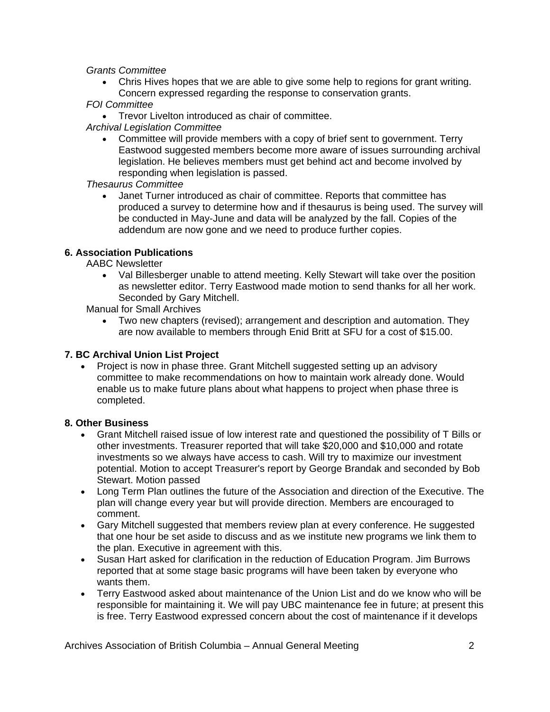*Grants Committee*

- Chris Hives hopes that we are able to give some help to regions for grant writing. Concern expressed regarding the response to conservation grants.
- *FOI Committee*
- Trevor Livelton introduced as chair of committee.
- *Archival Legislation Committee*
	- Committee will provide members with a copy of brief sent to government. Terry Eastwood suggested members become more aware of issues surrounding archival legislation. He believes members must get behind act and become involved by responding when legislation is passed.

## *Thesaurus Committee*

• Janet Turner introduced as chair of committee. Reports that committee has produced a survey to determine how and if thesaurus is being used. The survey will be conducted in May-June and data will be analyzed by the fall. Copies of the addendum are now gone and we need to produce further copies.

## **6. Association Publications**

AABC Newsletter

• Val Billesberger unable to attend meeting. Kelly Stewart will take over the position as newsletter editor. Terry Eastwood made motion to send thanks for all her work. Seconded by Gary Mitchell.

Manual for Small Archives

• Two new chapters (revised); arrangement and description and automation. They are now available to members through Enid Britt at SFU for a cost of \$15.00.

## **7. BC Archival Union List Project**

• Project is now in phase three. Grant Mitchell suggested setting up an advisory committee to make recommendations on how to maintain work already done. Would enable us to make future plans about what happens to project when phase three is completed.

## **8. Other Business**

- Grant Mitchell raised issue of low interest rate and questioned the possibility of T Bills or other investments. Treasurer reported that will take \$20,000 and \$10,000 and rotate investments so we always have access to cash. Will try to maximize our investment potential. Motion to accept Treasurer's report by George Brandak and seconded by Bob Stewart. Motion passed
- Long Term Plan outlines the future of the Association and direction of the Executive. The plan will change every year but will provide direction. Members are encouraged to comment.
- Gary Mitchell suggested that members review plan at every conference. He suggested that one hour be set aside to discuss and as we institute new programs we link them to the plan. Executive in agreement with this.
- Susan Hart asked for clarification in the reduction of Education Program. Jim Burrows reported that at some stage basic programs will have been taken by everyone who wants them.
- Terry Eastwood asked about maintenance of the Union List and do we know who will be responsible for maintaining it. We will pay UBC maintenance fee in future; at present this is free. Terry Eastwood expressed concern about the cost of maintenance if it develops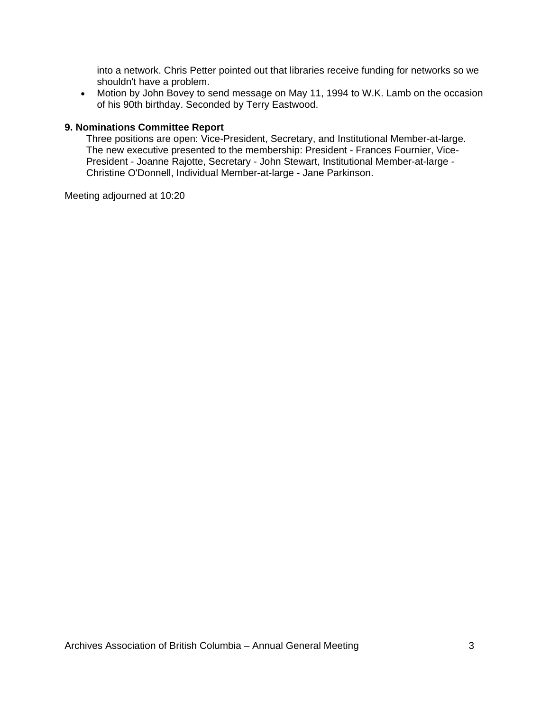into a network. Chris Petter pointed out that libraries receive funding for networks so we shouldn't have a problem.

• Motion by John Bovey to send message on May 11, 1994 to W.K. Lamb on the occasion of his 90th birthday. Seconded by Terry Eastwood.

#### **9. Nominations Committee Report**

Three positions are open: Vice-President, Secretary, and Institutional Member-at-large. The new executive presented to the membership: President - Frances Fournier, Vice-President - Joanne Rajotte, Secretary - John Stewart, Institutional Member-at-large - Christine O'Donnell, Individual Member-at-large - Jane Parkinson.

Meeting adjourned at 10:20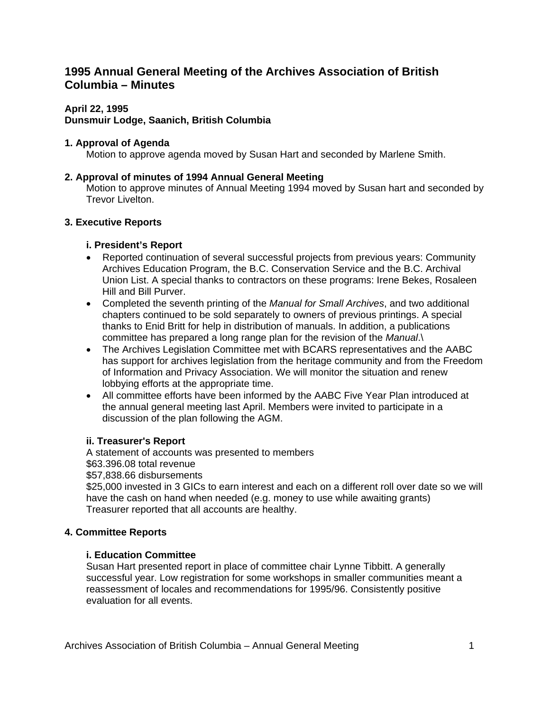# **1995 Annual General Meeting of the Archives Association of British Columbia – Minutes**

# **April 22, 1995**

## **Dunsmuir Lodge, Saanich, British Columbia**

# **1. Approval of Agenda**

Motion to approve agenda moved by Susan Hart and seconded by Marlene Smith.

# **2. Approval of minutes of 1994 Annual General Meeting**

Motion to approve minutes of Annual Meeting 1994 moved by Susan hart and seconded by Trevor Livelton.

# **3. Executive Reports**

# **i. President's Report**

- Reported continuation of several successful projects from previous years: Community Archives Education Program, the B.C. Conservation Service and the B.C. Archival Union List. A special thanks to contractors on these programs: Irene Bekes, Rosaleen Hill and Bill Purver.
- Completed the seventh printing of the *Manual for Small Archives*, and two additional chapters continued to be sold separately to owners of previous printings. A special thanks to Enid Britt for help in distribution of manuals. In addition, a publications committee has prepared a long range plan for the revision of the *Manual*.\
- The Archives Legislation Committee met with BCARS representatives and the AABC has support for archives legislation from the heritage community and from the Freedom of Information and Privacy Association. We will monitor the situation and renew lobbying efforts at the appropriate time.
- All committee efforts have been informed by the AABC Five Year Plan introduced at the annual general meeting last April. Members were invited to participate in a discussion of the plan following the AGM.

## **ii. Treasurer's Report**

A statement of accounts was presented to members \$63.396.08 total revenue \$57,838.66 disbursements \$25,000 invested in 3 GICs to earn interest and each on a different roll over date so we will have the cash on hand when needed (e.g. money to use while awaiting grants) Treasurer reported that all accounts are healthy.

# **4. Committee Reports**

## **i. Education Committee**

Susan Hart presented report in place of committee chair Lynne Tibbitt. A generally successful year. Low registration for some workshops in smaller communities meant a reassessment of locales and recommendations for 1995/96. Consistently positive evaluation for all events.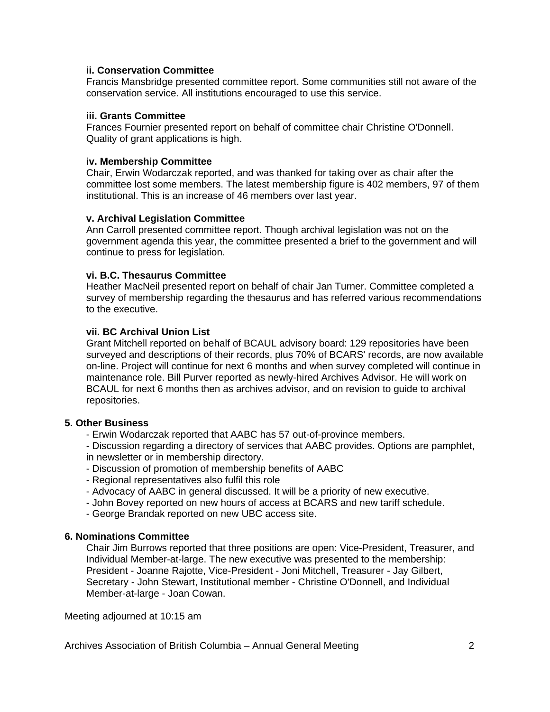#### **ii. Conservation Committee**

Francis Mansbridge presented committee report. Some communities still not aware of the conservation service. All institutions encouraged to use this service.

#### **iii. Grants Committee**

Frances Fournier presented report on behalf of committee chair Christine O'Donnell. Quality of grant applications is high.

#### **iv. Membership Committee**

Chair, Erwin Wodarczak reported, and was thanked for taking over as chair after the committee lost some members. The latest membership figure is 402 members, 97 of them institutional. This is an increase of 46 members over last year.

## **v. Archival Legislation Committee**

Ann Carroll presented committee report. Though archival legislation was not on the government agenda this year, the committee presented a brief to the government and will continue to press for legislation.

#### **vi. B.C. Thesaurus Committee**

Heather MacNeil presented report on behalf of chair Jan Turner. Committee completed a survey of membership regarding the thesaurus and has referred various recommendations to the executive.

#### **vii. BC Archival Union List**

Grant Mitchell reported on behalf of BCAUL advisory board: 129 repositories have been surveyed and descriptions of their records, plus 70% of BCARS' records, are now available on-line. Project will continue for next 6 months and when survey completed will continue in maintenance role. Bill Purver reported as newly-hired Archives Advisor. He will work on BCAUL for next 6 months then as archives advisor, and on revision to guide to archival repositories.

## **5. Other Business**

- Erwin Wodarczak reported that AABC has 57 out-of-province members.

- Discussion regarding a directory of services that AABC provides. Options are pamphlet, in newsletter or in membership directory.

- Discussion of promotion of membership benefits of AABC
- Regional representatives also fulfil this role
- Advocacy of AABC in general discussed. It will be a priority of new executive.
- John Bovey reported on new hours of access at BCARS and new tariff schedule.
- George Brandak reported on new UBC access site.

#### **6. Nominations Committee**

Chair Jim Burrows reported that three positions are open: Vice-President, Treasurer, and Individual Member-at-large. The new executive was presented to the membership: President - Joanne Rajotte, Vice-President - Joni Mitchell, Treasurer - Jay Gilbert, Secretary - John Stewart, Institutional member - Christine O'Donnell, and Individual Member-at-large - Joan Cowan.

Meeting adjourned at 10:15 am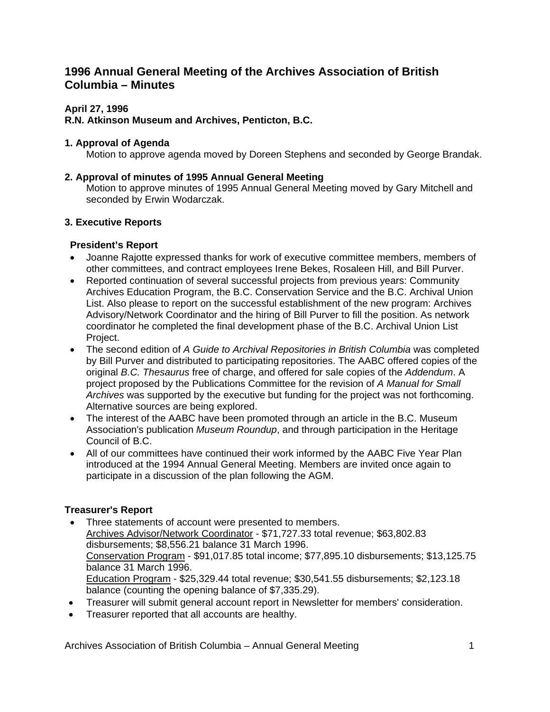# **1996 Annual General Meeting of the Archives Association of British Columbia – Minutes**

# **April 27, 1996**

# **R.N. Atkinson Museum and Archives, Penticton, B.C.**

## **1. Approval of Agenda**

Motion to approve agenda moved by Doreen Stephens and seconded by George Brandak.

## **2. Approval of minutes of 1995 Annual General Meeting**

Motion to approve minutes of 1995 Annual General Meeting moved by Gary Mitchell and seconded by Erwin Wodarczak.

# **3. Executive Reports**

# **President's Report**

- Joanne Rajotte expressed thanks for work of executive committee members, members of other committees, and contract employees Irene Bekes, Rosaleen Hill, and Bill Purver.
- Reported continuation of several successful projects from previous years: Community Archives Education Program, the B.C. Conservation Service and the B.C. Archival Union List. Also please to report on the successful establishment of the new program: Archives Advisory/Network Coordinator and the hiring of Bill Purver to fill the position. As network coordinator he completed the final development phase of the B.C. Archival Union List Project.
- The second edition of *A Guide to Archival Repositories in British Columbia* was completed by Bill Purver and distributed to participating repositories. The AABC offered copies of the original *B.C. Thesaurus* free of charge, and offered for sale copies of the *Addendum*. A project proposed by the Publications Committee for the revision of *A Manual for Small Archives* was supported by the executive but funding for the project was not forthcoming. Alternative sources are being explored.
- The interest of the AABC have been promoted through an article in the B.C. Museum Association's publication *Museum Roundup*, and through participation in the Heritage Council of B.C.
- All of our committees have continued their work informed by the AABC Five Year Plan introduced at the 1994 Annual General Meeting. Members are invited once again to participate in a discussion of the plan following the AGM.

# **Treasurer's Report**

- Three statements of account were presented to members. Archives Advisor/Network Coordinator - \$71,727.33 total revenue; \$63,802.83 disbursements; \$8,556.21 balance 31 March 1996. Conservation Program - \$91,017.85 total income; \$77,895.10 disbursements; \$13,125.75 balance 31 March 1996. Education Program - \$25,329.44 total revenue; \$30,541.55 disbursements; \$2,123.18 balance (counting the opening balance of \$7,335.29).
- Treasurer will submit general account report in Newsletter for members' consideration.
- Treasurer reported that all accounts are healthy.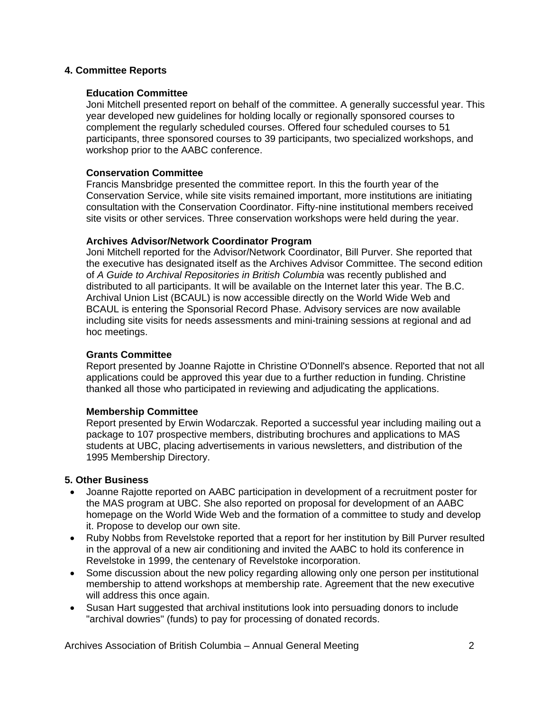#### **4. Committee Reports**

#### **Education Committee**

Joni Mitchell presented report on behalf of the committee. A generally successful year. This year developed new guidelines for holding locally or regionally sponsored courses to complement the regularly scheduled courses. Offered four scheduled courses to 51 participants, three sponsored courses to 39 participants, two specialized workshops, and workshop prior to the AABC conference.

#### **Conservation Committee**

Francis Mansbridge presented the committee report. In this the fourth year of the Conservation Service, while site visits remained important, more institutions are initiating consultation with the Conservation Coordinator. Fifty-nine institutional members received site visits or other services. Three conservation workshops were held during the year.

#### **Archives Advisor/Network Coordinator Program**

Joni Mitchell reported for the Advisor/Network Coordinator, Bill Purver. She reported that the executive has designated itself as the Archives Advisor Committee. The second edition of *A Guide to Archival Repositories in British Columbia* was recently published and distributed to all participants. It will be available on the Internet later this year. The B.C. Archival Union List (BCAUL) is now accessible directly on the World Wide Web and BCAUL is entering the Sponsorial Record Phase. Advisory services are now available including site visits for needs assessments and mini-training sessions at regional and ad hoc meetings.

#### **Grants Committee**

Report presented by Joanne Rajotte in Christine O'Donnell's absence. Reported that not all applications could be approved this year due to a further reduction in funding. Christine thanked all those who participated in reviewing and adjudicating the applications.

#### **Membership Committee**

Report presented by Erwin Wodarczak. Reported a successful year including mailing out a package to 107 prospective members, distributing brochures and applications to MAS students at UBC, placing advertisements in various newsletters, and distribution of the 1995 Membership Directory.

## **5. Other Business**

- Joanne Rajotte reported on AABC participation in development of a recruitment poster for the MAS program at UBC. She also reported on proposal for development of an AABC homepage on the World Wide Web and the formation of a committee to study and develop it. Propose to develop our own site.
- Ruby Nobbs from Revelstoke reported that a report for her institution by Bill Purver resulted in the approval of a new air conditioning and invited the AABC to hold its conference in Revelstoke in 1999, the centenary of Revelstoke incorporation.
- Some discussion about the new policy regarding allowing only one person per institutional membership to attend workshops at membership rate. Agreement that the new executive will address this once again.
- Susan Hart suggested that archival institutions look into persuading donors to include "archival dowries" (funds) to pay for processing of donated records.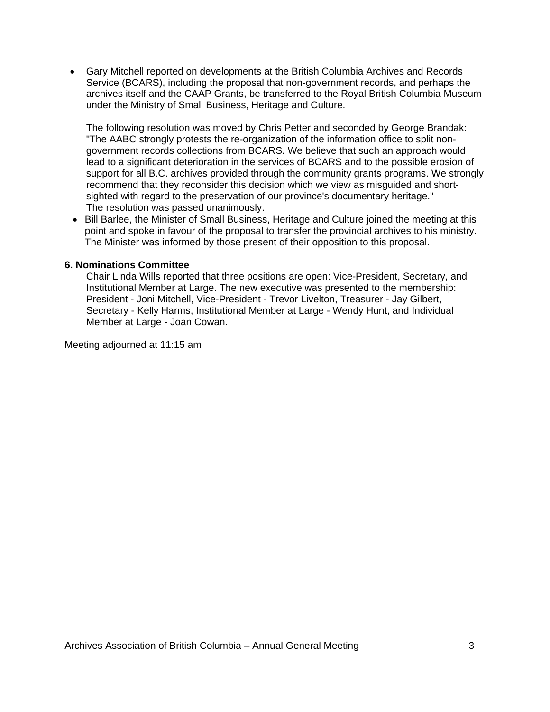• Gary Mitchell reported on developments at the British Columbia Archives and Records Service (BCARS), including the proposal that non-government records, and perhaps the archives itself and the CAAP Grants, be transferred to the Royal British Columbia Museum under the Ministry of Small Business, Heritage and Culture.

The following resolution was moved by Chris Petter and seconded by George Brandak: "The AABC strongly protests the re-organization of the information office to split nongovernment records collections from BCARS. We believe that such an approach would lead to a significant deterioration in the services of BCARS and to the possible erosion of support for all B.C. archives provided through the community grants programs. We strongly recommend that they reconsider this decision which we view as misguided and shortsighted with regard to the preservation of our province's documentary heritage." The resolution was passed unanimously.

• Bill Barlee, the Minister of Small Business, Heritage and Culture joined the meeting at this point and spoke in favour of the proposal to transfer the provincial archives to his ministry. The Minister was informed by those present of their opposition to this proposal.

#### **6. Nominations Committee**

Chair Linda Wills reported that three positions are open: Vice-President, Secretary, and Institutional Member at Large. The new executive was presented to the membership: President - Joni Mitchell, Vice-President - Trevor Livelton, Treasurer - Jay Gilbert, Secretary - Kelly Harms, Institutional Member at Large - Wendy Hunt, and Individual Member at Large - Joan Cowan.

Meeting adjourned at 11:15 am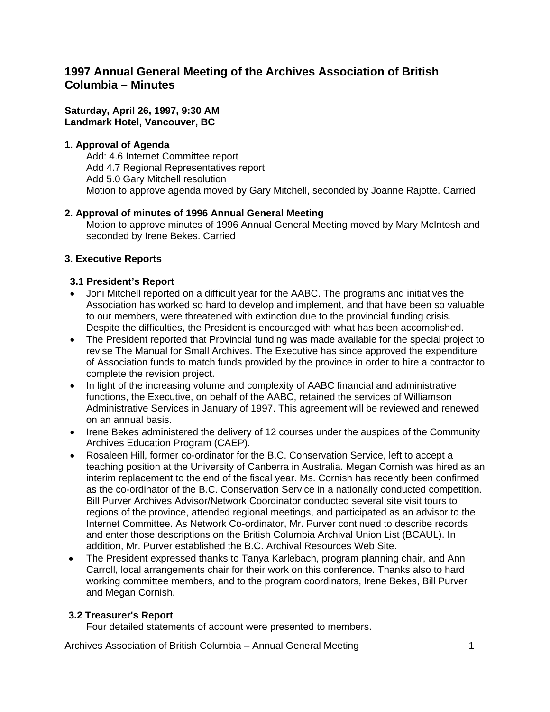# **1997 Annual General Meeting of the Archives Association of British Columbia – Minutes**

## **Saturday, April 26, 1997, 9:30 AM Landmark Hotel, Vancouver, BC**

# **1. Approval of Agenda**

Add: 4.6 Internet Committee report Add 4.7 Regional Representatives report Add 5.0 Gary Mitchell resolution Motion to approve agenda moved by Gary Mitchell, seconded by Joanne Rajotte. Carried

# **2. Approval of minutes of 1996 Annual General Meeting**

Motion to approve minutes of 1996 Annual General Meeting moved by Mary McIntosh and seconded by Irene Bekes. Carried

# **3. Executive Reports**

# **3.1 President's Report**

- Joni Mitchell reported on a difficult year for the AABC. The programs and initiatives the Association has worked so hard to develop and implement, and that have been so valuable to our members, were threatened with extinction due to the provincial funding crisis. Despite the difficulties, the President is encouraged with what has been accomplished.
- The President reported that Provincial funding was made available for the special project to revise The Manual for Small Archives. The Executive has since approved the expenditure of Association funds to match funds provided by the province in order to hire a contractor to complete the revision project.
- In light of the increasing volume and complexity of AABC financial and administrative functions, the Executive, on behalf of the AABC, retained the services of Williamson Administrative Services in January of 1997. This agreement will be reviewed and renewed on an annual basis.
- Irene Bekes administered the delivery of 12 courses under the auspices of the Community Archives Education Program (CAEP).
- Rosaleen Hill, former co-ordinator for the B.C. Conservation Service, left to accept a teaching position at the University of Canberra in Australia. Megan Cornish was hired as an interim replacement to the end of the fiscal year. Ms. Cornish has recently been confirmed as the co-ordinator of the B.C. Conservation Service in a nationally conducted competition. Bill Purver Archives Advisor/Network Coordinator conducted several site visit tours to regions of the province, attended regional meetings, and participated as an advisor to the Internet Committee. As Network Co-ordinator, Mr. Purver continued to describe records and enter those descriptions on the British Columbia Archival Union List (BCAUL). In addition, Mr. Purver established the B.C. Archival Resources Web Site.
- The President expressed thanks to Tanya Karlebach, program planning chair, and Ann Carroll, local arrangements chair for their work on this conference. Thanks also to hard working committee members, and to the program coordinators, Irene Bekes, Bill Purver and Megan Cornish.

## **3.2 Treasurer's Report**

Four detailed statements of account were presented to members.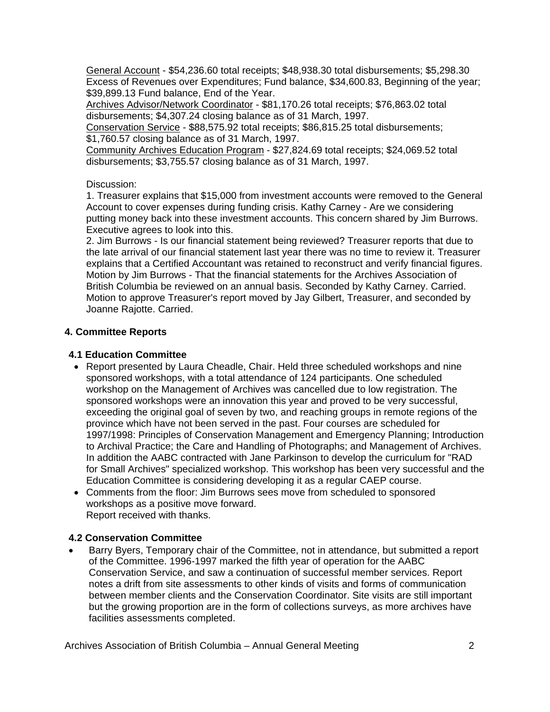General Account - \$54,236.60 total receipts; \$48,938.30 total disbursements; \$5,298.30 Excess of Revenues over Expenditures; Fund balance, \$34,600.83, Beginning of the year; \$39,899.13 Fund balance, End of the Year.

Archives Advisor/Network Coordinator - \$81,170.26 total receipts; \$76,863.02 total disbursements; \$4,307.24 closing balance as of 31 March, 1997.

Conservation Service - \$88,575.92 total receipts; \$86,815.25 total disbursements; \$1,760.57 closing balance as of 31 March, 1997.

Community Archives Education Program - \$27,824.69 total receipts; \$24,069.52 total disbursements; \$3,755.57 closing balance as of 31 March, 1997.

# Discussion:

1. Treasurer explains that \$15,000 from investment accounts were removed to the General Account to cover expenses during funding crisis. Kathy Carney - Are we considering putting money back into these investment accounts. This concern shared by Jim Burrows. Executive agrees to look into this.

2. Jim Burrows - Is our financial statement being reviewed? Treasurer reports that due to the late arrival of our financial statement last year there was no time to review it. Treasurer explains that a Certified Accountant was retained to reconstruct and verify financial figures. Motion by Jim Burrows - That the financial statements for the Archives Association of British Columbia be reviewed on an annual basis. Seconded by Kathy Carney. Carried. Motion to approve Treasurer's report moved by Jay Gilbert, Treasurer, and seconded by Joanne Rajotte. Carried.

# **4. Committee Reports**

# **4.1 Education Committee**

- Report presented by Laura Cheadle, Chair. Held three scheduled workshops and nine sponsored workshops, with a total attendance of 124 participants. One scheduled workshop on the Management of Archives was cancelled due to low registration. The sponsored workshops were an innovation this year and proved to be very successful, exceeding the original goal of seven by two, and reaching groups in remote regions of the province which have not been served in the past. Four courses are scheduled for 1997/1998: Principles of Conservation Management and Emergency Planning; Introduction to Archival Practice; the Care and Handling of Photographs; and Management of Archives. In addition the AABC contracted with Jane Parkinson to develop the curriculum for "RAD for Small Archives" specialized workshop. This workshop has been very successful and the Education Committee is considering developing it as a regular CAEP course.
- Comments from the floor: Jim Burrows sees move from scheduled to sponsored workshops as a positive move forward. Report received with thanks.

## **4.2 Conservation Committee**

• Barry Byers, Temporary chair of the Committee, not in attendance, but submitted a report of the Committee. 1996-1997 marked the fifth year of operation for the AABC Conservation Service, and saw a continuation of successful member services. Report notes a drift from site assessments to other kinds of visits and forms of communication between member clients and the Conservation Coordinator. Site visits are still important but the growing proportion are in the form of collections surveys, as more archives have facilities assessments completed.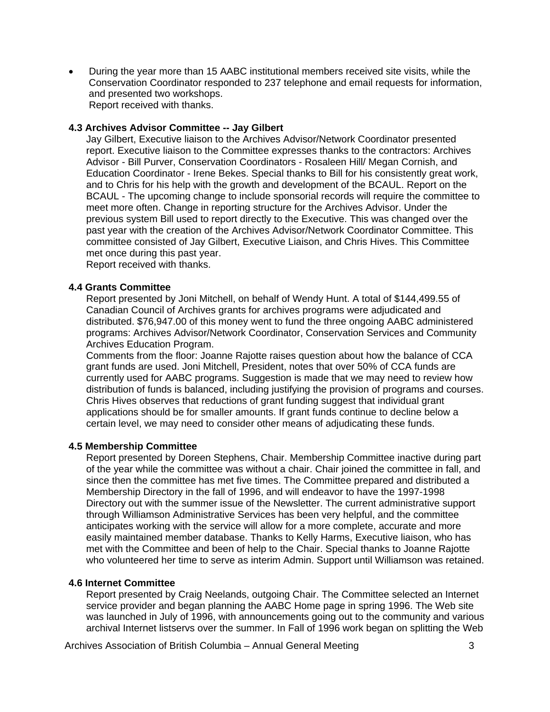• During the year more than 15 AABC institutional members received site visits, while the Conservation Coordinator responded to 237 telephone and email requests for information, and presented two workshops. Report received with thanks.

#### **4.3 Archives Advisor Committee -- Jay Gilbert**

Jay Gilbert, Executive liaison to the Archives Advisor/Network Coordinator presented report. Executive liaison to the Committee expresses thanks to the contractors: Archives Advisor - Bill Purver, Conservation Coordinators - Rosaleen Hill/ Megan Cornish, and Education Coordinator - Irene Bekes. Special thanks to Bill for his consistently great work, and to Chris for his help with the growth and development of the BCAUL. Report on the BCAUL - The upcoming change to include sponsorial records will require the committee to meet more often. Change in reporting structure for the Archives Advisor. Under the previous system Bill used to report directly to the Executive. This was changed over the past year with the creation of the Archives Advisor/Network Coordinator Committee. This committee consisted of Jay Gilbert, Executive Liaison, and Chris Hives. This Committee met once during this past year.

Report received with thanks.

#### **4.4 Grants Committee**

Report presented by Joni Mitchell, on behalf of Wendy Hunt. A total of \$144,499.55 of Canadian Council of Archives grants for archives programs were adjudicated and distributed. \$76,947.00 of this money went to fund the three ongoing AABC administered programs: Archives Advisor/Network Coordinator, Conservation Services and Community Archives Education Program.

Comments from the floor: Joanne Rajotte raises question about how the balance of CCA grant funds are used. Joni Mitchell, President, notes that over 50% of CCA funds are currently used for AABC programs. Suggestion is made that we may need to review how distribution of funds is balanced, including justifying the provision of programs and courses. Chris Hives observes that reductions of grant funding suggest that individual grant applications should be for smaller amounts. If grant funds continue to decline below a certain level, we may need to consider other means of adjudicating these funds.

#### **4.5 Membership Committee**

Report presented by Doreen Stephens, Chair. Membership Committee inactive during part of the year while the committee was without a chair. Chair joined the committee in fall, and since then the committee has met five times. The Committee prepared and distributed a Membership Directory in the fall of 1996, and will endeavor to have the 1997-1998 Directory out with the summer issue of the Newsletter. The current administrative support through Williamson Administrative Services has been very helpful, and the committee anticipates working with the service will allow for a more complete, accurate and more easily maintained member database. Thanks to Kelly Harms, Executive liaison, who has met with the Committee and been of help to the Chair. Special thanks to Joanne Rajotte who volunteered her time to serve as interim Admin. Support until Williamson was retained.

#### **4.6 Internet Committee**

Report presented by Craig Neelands, outgoing Chair. The Committee selected an Internet service provider and began planning the AABC Home page in spring 1996. The Web site was launched in July of 1996, with announcements going out to the community and various archival Internet listservs over the summer. In Fall of 1996 work began on splitting the Web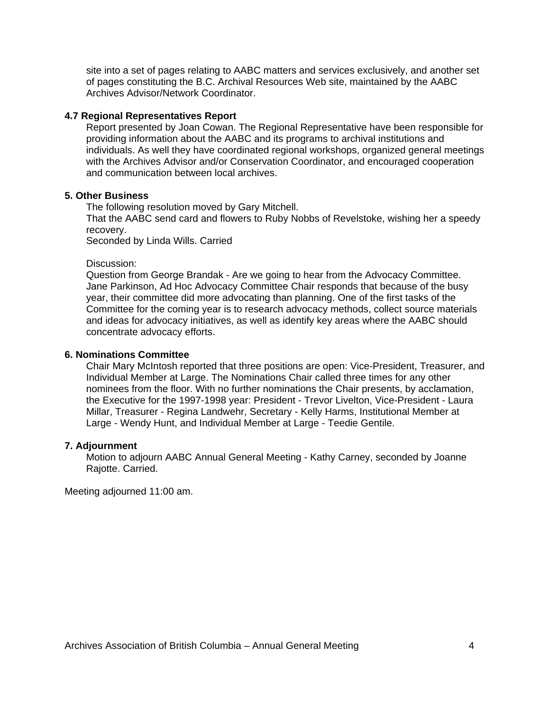site into a set of pages relating to AABC matters and services exclusively, and another set of pages constituting the B.C. Archival Resources Web site, maintained by the AABC Archives Advisor/Network Coordinator.

#### **4.7 Regional Representatives Report**

Report presented by Joan Cowan. The Regional Representative have been responsible for providing information about the AABC and its programs to archival institutions and individuals. As well they have coordinated regional workshops, organized general meetings with the Archives Advisor and/or Conservation Coordinator, and encouraged cooperation and communication between local archives.

#### **5. Other Business**

The following resolution moved by Gary Mitchell.

That the AABC send card and flowers to Ruby Nobbs of Revelstoke, wishing her a speedy recovery.

Seconded by Linda Wills. Carried

#### Discussion:

Question from George Brandak - Are we going to hear from the Advocacy Committee. Jane Parkinson, Ad Hoc Advocacy Committee Chair responds that because of the busy year, their committee did more advocating than planning. One of the first tasks of the Committee for the coming year is to research advocacy methods, collect source materials and ideas for advocacy initiatives, as well as identify key areas where the AABC should concentrate advocacy efforts.

#### **6. Nominations Committee**

Chair Mary McIntosh reported that three positions are open: Vice-President, Treasurer, and Individual Member at Large. The Nominations Chair called three times for any other nominees from the floor. With no further nominations the Chair presents, by acclamation, the Executive for the 1997-1998 year: President - Trevor Livelton, Vice-President - Laura Millar, Treasurer - Regina Landwehr, Secretary - Kelly Harms, Institutional Member at Large - Wendy Hunt, and Individual Member at Large - Teedie Gentile.

#### **7. Adjournment**

Motion to adjourn AABC Annual General Meeting - Kathy Carney, seconded by Joanne Rajotte. Carried.

Meeting adjourned 11:00 am.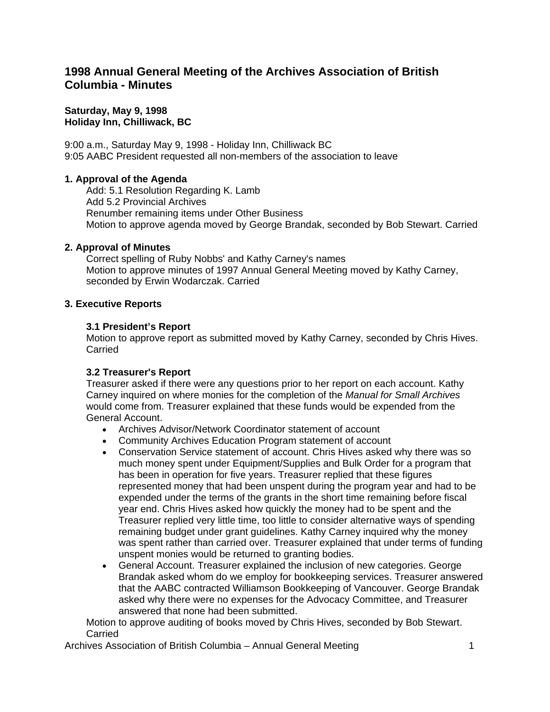# **1998 Annual General Meeting of the Archives Association of British Columbia - Minutes**

**Saturday, May 9, 1998 Holiday Inn, Chilliwack, BC**

9:00 a.m., Saturday May 9, 1998 - Holiday Inn, Chilliwack BC 9:05 AABC President requested all non-members of the association to leave

#### **1. Approval of the Agenda**

Add: 5.1 Resolution Regarding K. Lamb Add 5.2 Provincial Archives Renumber remaining items under Other Business Motion to approve agenda moved by George Brandak, seconded by Bob Stewart. Carried

#### **2. Approval of Minutes**

Correct spelling of Ruby Nobbs' and Kathy Carney's names Motion to approve minutes of 1997 Annual General Meeting moved by Kathy Carney, seconded by Erwin Wodarczak. Carried

#### **3. Executive Reports**

#### **3.1 President's Report**

Motion to approve report as submitted moved by Kathy Carney, seconded by Chris Hives. Carried

#### **3.2 Treasurer's Report**

Treasurer asked if there were any questions prior to her report on each account. Kathy Carney inquired on where monies for the completion of the *Manual for Small Archives* would come from. Treasurer explained that these funds would be expended from the General Account.

- Archives Advisor/Network Coordinator statement of account
- Community Archives Education Program statement of account
- Conservation Service statement of account. Chris Hives asked why there was so much money spent under Equipment/Supplies and Bulk Order for a program that has been in operation for five years. Treasurer replied that these figures represented money that had been unspent during the program year and had to be expended under the terms of the grants in the short time remaining before fiscal year end. Chris Hives asked how quickly the money had to be spent and the Treasurer replied very little time, too little to consider alternative ways of spending remaining budget under grant guidelines. Kathy Carney inquired why the money was spent rather than carried over. Treasurer explained that under terms of funding unspent monies would be returned to granting bodies.
- General Account. Treasurer explained the inclusion of new categories. George Brandak asked whom do we employ for bookkeeping services. Treasurer answered that the AABC contracted Williamson Bookkeeping of Vancouver. George Brandak asked why there were no expenses for the Advocacy Committee, and Treasurer answered that none had been submitted.

Motion to approve auditing of books moved by Chris Hives, seconded by Bob Stewart. Carried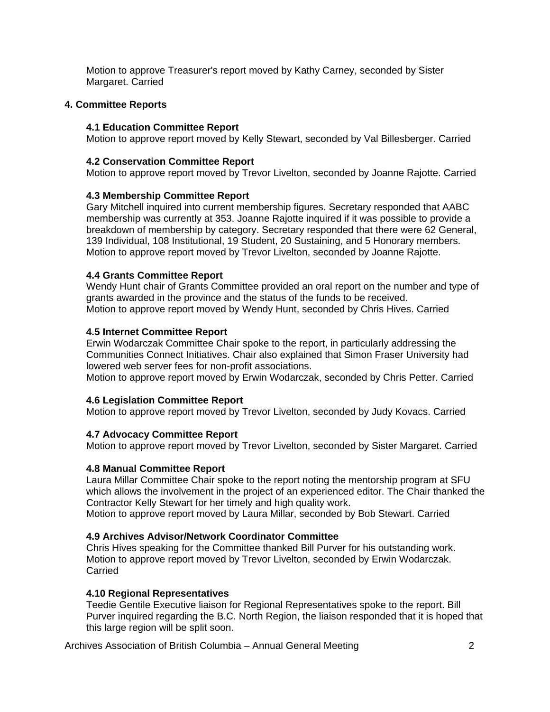Motion to approve Treasurer's report moved by Kathy Carney, seconded by Sister Margaret. Carried

## **4. Committee Reports**

#### **4.1 Education Committee Report**

Motion to approve report moved by Kelly Stewart, seconded by Val Billesberger. Carried

#### **4.2 Conservation Committee Report**

Motion to approve report moved by Trevor Livelton, seconded by Joanne Rajotte. Carried

#### **4.3 Membership Committee Report**

Gary Mitchell inquired into current membership figures. Secretary responded that AABC membership was currently at 353. Joanne Rajotte inquired if it was possible to provide a breakdown of membership by category. Secretary responded that there were 62 General, 139 Individual, 108 Institutional, 19 Student, 20 Sustaining, and 5 Honorary members. Motion to approve report moved by Trevor Livelton, seconded by Joanne Rajotte.

#### **4.4 Grants Committee Report**

Wendy Hunt chair of Grants Committee provided an oral report on the number and type of grants awarded in the province and the status of the funds to be received. Motion to approve report moved by Wendy Hunt, seconded by Chris Hives. Carried

#### **4.5 Internet Committee Report**

Erwin Wodarczak Committee Chair spoke to the report, in particularly addressing the Communities Connect Initiatives. Chair also explained that Simon Fraser University had lowered web server fees for non-profit associations.

Motion to approve report moved by Erwin Wodarczak, seconded by Chris Petter. Carried

#### **4.6 Legislation Committee Report**

Motion to approve report moved by Trevor Livelton, seconded by Judy Kovacs. Carried

## **4.7 Advocacy Committee Report**

Motion to approve report moved by Trevor Livelton, seconded by Sister Margaret. Carried

## **4.8 Manual Committee Report**

Laura Millar Committee Chair spoke to the report noting the mentorship program at SFU which allows the involvement in the project of an experienced editor. The Chair thanked the Contractor Kelly Stewart for her timely and high quality work.

Motion to approve report moved by Laura Millar, seconded by Bob Stewart. Carried

## **4.9 Archives Advisor/Network Coordinator Committee**

Chris Hives speaking for the Committee thanked Bill Purver for his outstanding work. Motion to approve report moved by Trevor Livelton, seconded by Erwin Wodarczak. Carried

#### **4.10 Regional Representatives**

Teedie Gentile Executive liaison for Regional Representatives spoke to the report. Bill Purver inquired regarding the B.C. North Region, the liaison responded that it is hoped that this large region will be split soon.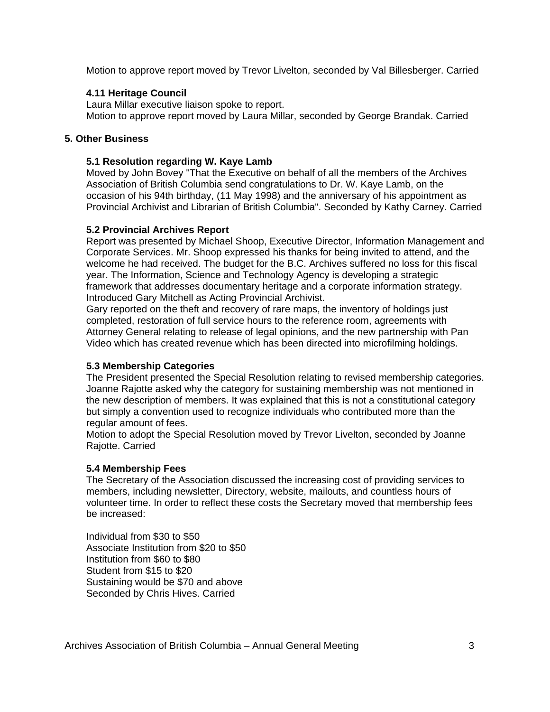Motion to approve report moved by Trevor Livelton, seconded by Val Billesberger. Carried

## **4.11 Heritage Council**

Laura Millar executive liaison spoke to report. Motion to approve report moved by Laura Millar, seconded by George Brandak. Carried

## **5. Other Business**

#### **5.1 Resolution regarding W. Kaye Lamb**

Moved by John Bovey "That the Executive on behalf of all the members of the Archives Association of British Columbia send congratulations to Dr. W. Kaye Lamb, on the occasion of his 94th birthday, (11 May 1998) and the anniversary of his appointment as Provincial Archivist and Librarian of British Columbia". Seconded by Kathy Carney. Carried

#### **5.2 Provincial Archives Report**

Report was presented by Michael Shoop, Executive Director, Information Management and Corporate Services. Mr. Shoop expressed his thanks for being invited to attend, and the welcome he had received. The budget for the B.C. Archives suffered no loss for this fiscal year. The Information, Science and Technology Agency is developing a strategic framework that addresses documentary heritage and a corporate information strategy. Introduced Gary Mitchell as Acting Provincial Archivist.

Gary reported on the theft and recovery of rare maps, the inventory of holdings just completed, restoration of full service hours to the reference room, agreements with Attorney General relating to release of legal opinions, and the new partnership with Pan Video which has created revenue which has been directed into microfilming holdings.

## **5.3 Membership Categories**

The President presented the Special Resolution relating to revised membership categories. Joanne Rajotte asked why the category for sustaining membership was not mentioned in the new description of members. It was explained that this is not a constitutional category but simply a convention used to recognize individuals who contributed more than the regular amount of fees.

Motion to adopt the Special Resolution moved by Trevor Livelton, seconded by Joanne Rajotte. Carried

## **5.4 Membership Fees**

The Secretary of the Association discussed the increasing cost of providing services to members, including newsletter, Directory, website, mailouts, and countless hours of volunteer time. In order to reflect these costs the Secretary moved that membership fees be increased:

Individual from \$30 to \$50 Associate Institution from \$20 to \$50 Institution from \$60 to \$80 Student from \$15 to \$20 Sustaining would be \$70 and above Seconded by Chris Hives. Carried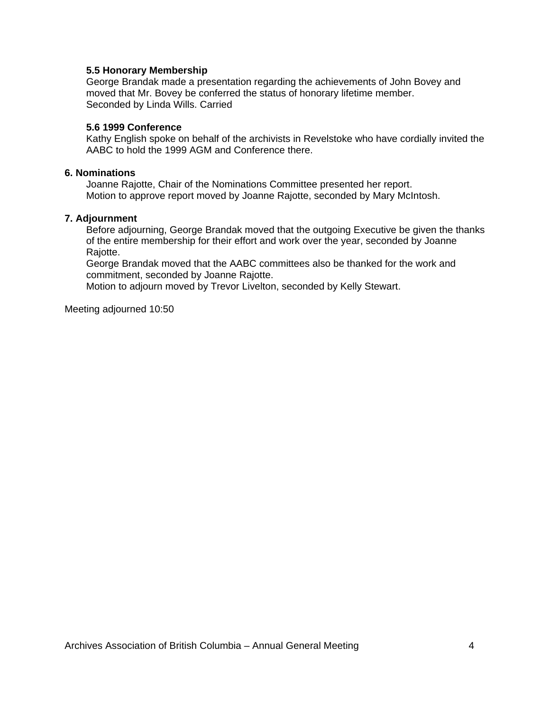#### **5.5 Honorary Membership**

George Brandak made a presentation regarding the achievements of John Bovey and moved that Mr. Bovey be conferred the status of honorary lifetime member. Seconded by Linda Wills. Carried

#### **5.6 1999 Conference**

Kathy English spoke on behalf of the archivists in Revelstoke who have cordially invited the AABC to hold the 1999 AGM and Conference there.

#### **6. Nominations**

Joanne Rajotte, Chair of the Nominations Committee presented her report. Motion to approve report moved by Joanne Rajotte, seconded by Mary McIntosh.

#### **7. Adjournment**

Before adjourning, George Brandak moved that the outgoing Executive be given the thanks of the entire membership for their effort and work over the year, seconded by Joanne Rajotte.

George Brandak moved that the AABC committees also be thanked for the work and commitment, seconded by Joanne Rajotte.

Motion to adjourn moved by Trevor Livelton, seconded by Kelly Stewart.

Meeting adjourned 10:50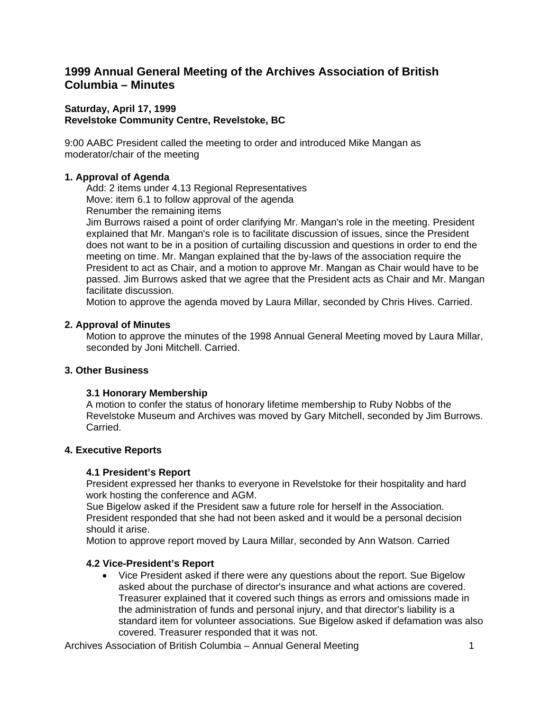# **1999 Annual General Meeting of the Archives Association of British Columbia – Minutes**

## **Saturday, April 17, 1999 Revelstoke Community Centre, Revelstoke, BC**

9:00 AABC President called the meeting to order and introduced Mike Mangan as moderator/chair of the meeting

# **1. Approval of Agenda**

Add: 2 items under 4.13 Regional Representatives Move: item 6.1 to follow approval of the agenda Renumber the remaining items

Jim Burrows raised a point of order clarifying Mr. Mangan's role in the meeting. President explained that Mr. Mangan's role is to facilitate discussion of issues, since the President does not want to be in a position of curtailing discussion and questions in order to end the meeting on time. Mr. Mangan explained that the by-laws of the association require the President to act as Chair, and a motion to approve Mr. Mangan as Chair would have to be passed. Jim Burrows asked that we agree that the President acts as Chair and Mr. Mangan facilitate discussion.

Motion to approve the agenda moved by Laura Millar, seconded by Chris Hives. Carried.

## **2. Approval of Minutes**

Motion to approve the minutes of the 1998 Annual General Meeting moved by Laura Millar, seconded by Joni Mitchell. Carried.

## **3. Other Business**

## **3.1 Honorary Membership**

A motion to confer the status of honorary lifetime membership to Ruby Nobbs of the Revelstoke Museum and Archives was moved by Gary Mitchell, seconded by Jim Burrows. Carried.

## **4. Executive Reports**

## **4.1 President's Report**

President expressed her thanks to everyone in Revelstoke for their hospitality and hard work hosting the conference and AGM.

Sue Bigelow asked if the President saw a future role for herself in the Association. President responded that she had not been asked and it would be a personal decision should it arise.

Motion to approve report moved by Laura Millar, seconded by Ann Watson. Carried

## **4.2 Vice-President's Report**

• Vice President asked if there were any questions about the report. Sue Bigelow asked about the purchase of director's insurance and what actions are covered. Treasurer explained that it covered such things as errors and omissions made in the administration of funds and personal injury, and that director's liability is a standard item for volunteer associations. Sue Bigelow asked if defamation was also covered. Treasurer responded that it was not.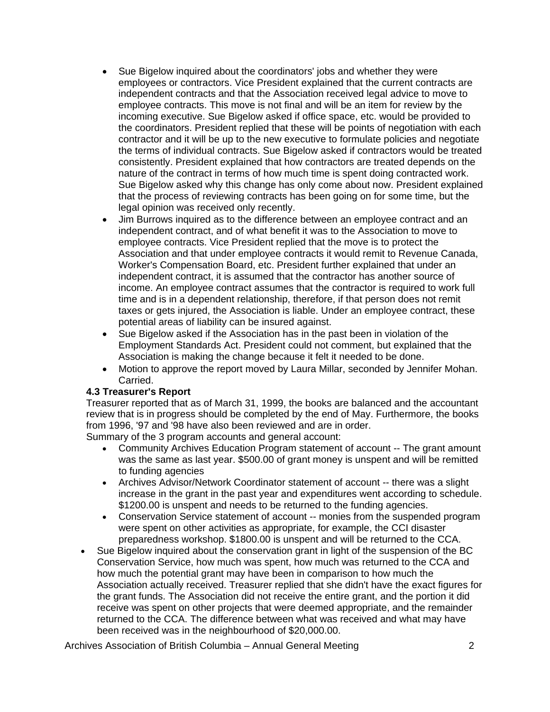- Sue Bigelow inquired about the coordinators' jobs and whether they were employees or contractors. Vice President explained that the current contracts are independent contracts and that the Association received legal advice to move to employee contracts. This move is not final and will be an item for review by the incoming executive. Sue Bigelow asked if office space, etc. would be provided to the coordinators. President replied that these will be points of negotiation with each contractor and it will be up to the new executive to formulate policies and negotiate the terms of individual contracts. Sue Bigelow asked if contractors would be treated consistently. President explained that how contractors are treated depends on the nature of the contract in terms of how much time is spent doing contracted work. Sue Bigelow asked why this change has only come about now. President explained that the process of reviewing contracts has been going on for some time, but the legal opinion was received only recently.
- Jim Burrows inquired as to the difference between an employee contract and an independent contract, and of what benefit it was to the Association to move to employee contracts. Vice President replied that the move is to protect the Association and that under employee contracts it would remit to Revenue Canada, Worker's Compensation Board, etc. President further explained that under an independent contract, it is assumed that the contractor has another source of income. An employee contract assumes that the contractor is required to work full time and is in a dependent relationship, therefore, if that person does not remit taxes or gets injured, the Association is liable. Under an employee contract, these potential areas of liability can be insured against.
- Sue Bigelow asked if the Association has in the past been in violation of the Employment Standards Act. President could not comment, but explained that the Association is making the change because it felt it needed to be done.
- Motion to approve the report moved by Laura Millar, seconded by Jennifer Mohan. Carried.

## **4.3 Treasurer's Report**

Treasurer reported that as of March 31, 1999, the books are balanced and the accountant review that is in progress should be completed by the end of May. Furthermore, the books from 1996, '97 and '98 have also been reviewed and are in order.

Summary of the 3 program accounts and general account:

- Community Archives Education Program statement of account -- The grant amount was the same as last year. \$500.00 of grant money is unspent and will be remitted to funding agencies
- Archives Advisor/Network Coordinator statement of account -- there was a slight increase in the grant in the past year and expenditures went according to schedule. \$1200.00 is unspent and needs to be returned to the funding agencies.
- Conservation Service statement of account -- monies from the suspended program were spent on other activities as appropriate, for example, the CCI disaster preparedness workshop. \$1800.00 is unspent and will be returned to the CCA.
- Sue Bigelow inquired about the conservation grant in light of the suspension of the BC Conservation Service, how much was spent, how much was returned to the CCA and how much the potential grant may have been in comparison to how much the Association actually received. Treasurer replied that she didn't have the exact figures for the grant funds. The Association did not receive the entire grant, and the portion it did receive was spent on other projects that were deemed appropriate, and the remainder returned to the CCA. The difference between what was received and what may have been received was in the neighbourhood of \$20,000.00.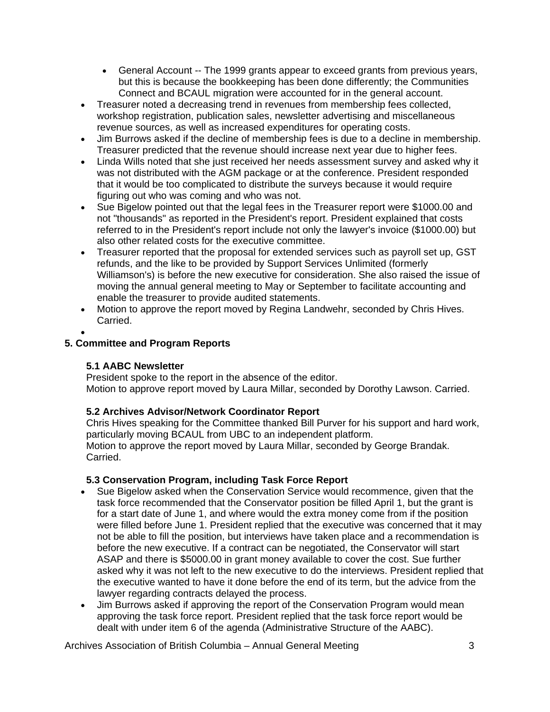- General Account -- The 1999 grants appear to exceed grants from previous years, but this is because the bookkeeping has been done differently; the Communities Connect and BCAUL migration were accounted for in the general account.
- Treasurer noted a decreasing trend in revenues from membership fees collected, workshop registration, publication sales, newsletter advertising and miscellaneous revenue sources, as well as increased expenditures for operating costs.
- Jim Burrows asked if the decline of membership fees is due to a decline in membership. Treasurer predicted that the revenue should increase next year due to higher fees.
- Linda Wills noted that she just received her needs assessment survey and asked why it was not distributed with the AGM package or at the conference. President responded that it would be too complicated to distribute the surveys because it would require figuring out who was coming and who was not.
- Sue Bigelow pointed out that the legal fees in the Treasurer report were \$1000.00 and not "thousands" as reported in the President's report. President explained that costs referred to in the President's report include not only the lawyer's invoice (\$1000.00) but also other related costs for the executive committee.
- Treasurer reported that the proposal for extended services such as payroll set up, GST refunds, and the like to be provided by Support Services Unlimited (formerly Williamson's) is before the new executive for consideration. She also raised the issue of moving the annual general meeting to May or September to facilitate accounting and enable the treasurer to provide audited statements.
- Motion to approve the report moved by Regina Landwehr, seconded by Chris Hives. Carried.
- •

## **5. Committee and Program Reports**

## **5.1 AABC Newsletter**

President spoke to the report in the absence of the editor. Motion to approve report moved by Laura Millar, seconded by Dorothy Lawson. Carried.

## **5.2 Archives Advisor/Network Coordinator Report**

Chris Hives speaking for the Committee thanked Bill Purver for his support and hard work, particularly moving BCAUL from UBC to an independent platform. Motion to approve the report moved by Laura Millar, seconded by George Brandak. Carried.

## **5.3 Conservation Program, including Task Force Report**

- Sue Bigelow asked when the Conservation Service would recommence, given that the task force recommended that the Conservator position be filled April 1, but the grant is for a start date of June 1, and where would the extra money come from if the position were filled before June 1. President replied that the executive was concerned that it may not be able to fill the position, but interviews have taken place and a recommendation is before the new executive. If a contract can be negotiated, the Conservator will start ASAP and there is \$5000.00 in grant money available to cover the cost. Sue further asked why it was not left to the new executive to do the interviews. President replied that the executive wanted to have it done before the end of its term, but the advice from the lawyer regarding contracts delayed the process.
- Jim Burrows asked if approving the report of the Conservation Program would mean approving the task force report. President replied that the task force report would be dealt with under item 6 of the agenda (Administrative Structure of the AABC).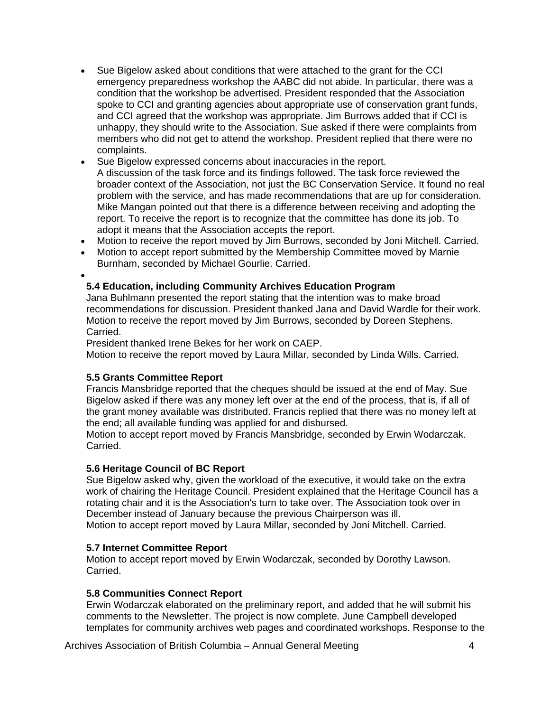- Sue Bigelow asked about conditions that were attached to the grant for the CCI emergency preparedness workshop the AABC did not abide. In particular, there was a condition that the workshop be advertised. President responded that the Association spoke to CCI and granting agencies about appropriate use of conservation grant funds, and CCI agreed that the workshop was appropriate. Jim Burrows added that if CCI is unhappy, they should write to the Association. Sue asked if there were complaints from members who did not get to attend the workshop. President replied that there were no complaints.
- Sue Bigelow expressed concerns about inaccuracies in the report. A discussion of the task force and its findings followed. The task force reviewed the broader context of the Association, not just the BC Conservation Service. It found no real problem with the service, and has made recommendations that are up for consideration. Mike Mangan pointed out that there is a difference between receiving and adopting the report. To receive the report is to recognize that the committee has done its job. To adopt it means that the Association accepts the report.
- Motion to receive the report moved by Jim Burrows, seconded by Joni Mitchell. Carried.
- Motion to accept report submitted by the Membership Committee moved by Marnie Burnham, seconded by Michael Gourlie. Carried.

•

# **5.4 Education, including Community Archives Education Program**

Jana Buhlmann presented the report stating that the intention was to make broad recommendations for discussion. President thanked Jana and David Wardle for their work. Motion to receive the report moved by Jim Burrows, seconded by Doreen Stephens. Carried.

President thanked Irene Bekes for her work on CAEP.

Motion to receive the report moved by Laura Millar, seconded by Linda Wills. Carried.

## **5.5 Grants Committee Report**

Francis Mansbridge reported that the cheques should be issued at the end of May. Sue Bigelow asked if there was any money left over at the end of the process, that is, if all of the grant money available was distributed. Francis replied that there was no money left at the end; all available funding was applied for and disbursed.

Motion to accept report moved by Francis Mansbridge, seconded by Erwin Wodarczak. Carried.

## **5.6 Heritage Council of BC Report**

Sue Bigelow asked why, given the workload of the executive, it would take on the extra work of chairing the Heritage Council. President explained that the Heritage Council has a rotating chair and it is the Association's turn to take over. The Association took over in December instead of January because the previous Chairperson was ill. Motion to accept report moved by Laura Millar, seconded by Joni Mitchell. Carried.

## **5.7 Internet Committee Report**

Motion to accept report moved by Erwin Wodarczak, seconded by Dorothy Lawson. Carried.

#### **5.8 Communities Connect Report**

Erwin Wodarczak elaborated on the preliminary report, and added that he will submit his comments to the Newsletter. The project is now complete. June Campbell developed templates for community archives web pages and coordinated workshops. Response to the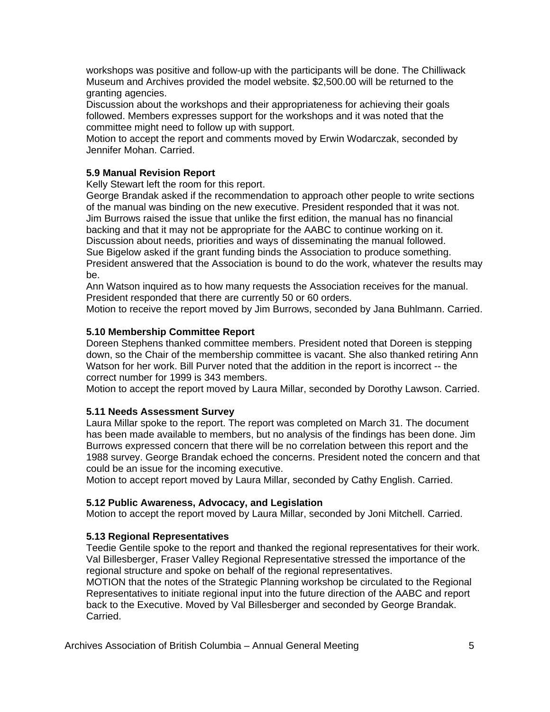workshops was positive and follow-up with the participants will be done. The Chilliwack Museum and Archives provided the model website. \$2,500.00 will be returned to the granting agencies.

Discussion about the workshops and their appropriateness for achieving their goals followed. Members expresses support for the workshops and it was noted that the committee might need to follow up with support.

Motion to accept the report and comments moved by Erwin Wodarczak, seconded by Jennifer Mohan. Carried.

# **5.9 Manual Revision Report**

Kelly Stewart left the room for this report.

George Brandak asked if the recommendation to approach other people to write sections of the manual was binding on the new executive. President responded that it was not. Jim Burrows raised the issue that unlike the first edition, the manual has no financial backing and that it may not be appropriate for the AABC to continue working on it. Discussion about needs, priorities and ways of disseminating the manual followed. Sue Bigelow asked if the grant funding binds the Association to produce something. President answered that the Association is bound to do the work, whatever the results may be.

Ann Watson inquired as to how many requests the Association receives for the manual. President responded that there are currently 50 or 60 orders.

Motion to receive the report moved by Jim Burrows, seconded by Jana Buhlmann. Carried.

#### **5.10 Membership Committee Report**

Doreen Stephens thanked committee members. President noted that Doreen is stepping down, so the Chair of the membership committee is vacant. She also thanked retiring Ann Watson for her work. Bill Purver noted that the addition in the report is incorrect -- the correct number for 1999 is 343 members.

Motion to accept the report moved by Laura Millar, seconded by Dorothy Lawson. Carried.

## **5.11 Needs Assessment Survey**

Laura Millar spoke to the report. The report was completed on March 31. The document has been made available to members, but no analysis of the findings has been done. Jim Burrows expressed concern that there will be no correlation between this report and the 1988 survey. George Brandak echoed the concerns. President noted the concern and that could be an issue for the incoming executive.

Motion to accept report moved by Laura Millar, seconded by Cathy English. Carried.

#### **5.12 Public Awareness, Advocacy, and Legislation**

Motion to accept the report moved by Laura Millar, seconded by Joni Mitchell. Carried.

## **5.13 Regional Representatives**

Teedie Gentile spoke to the report and thanked the regional representatives for their work. Val Billesberger, Fraser Valley Regional Representative stressed the importance of the regional structure and spoke on behalf of the regional representatives.

MOTION that the notes of the Strategic Planning workshop be circulated to the Regional Representatives to initiate regional input into the future direction of the AABC and report back to the Executive. Moved by Val Billesberger and seconded by George Brandak. Carried.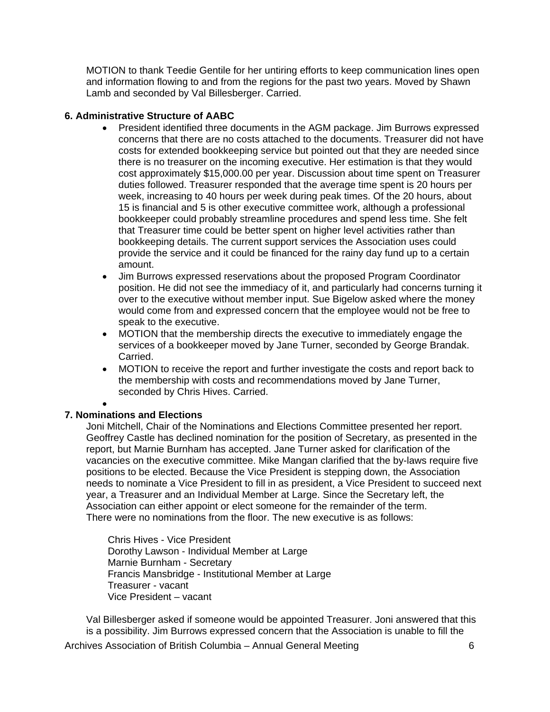MOTION to thank Teedie Gentile for her untiring efforts to keep communication lines open and information flowing to and from the regions for the past two years. Moved by Shawn Lamb and seconded by Val Billesberger. Carried.

## **6. Administrative Structure of AABC**

- President identified three documents in the AGM package. Jim Burrows expressed concerns that there are no costs attached to the documents. Treasurer did not have costs for extended bookkeeping service but pointed out that they are needed since there is no treasurer on the incoming executive. Her estimation is that they would cost approximately \$15,000.00 per year. Discussion about time spent on Treasurer duties followed. Treasurer responded that the average time spent is 20 hours per week, increasing to 40 hours per week during peak times. Of the 20 hours, about 15 is financial and 5 is other executive committee work, although a professional bookkeeper could probably streamline procedures and spend less time. She felt that Treasurer time could be better spent on higher level activities rather than bookkeeping details. The current support services the Association uses could provide the service and it could be financed for the rainy day fund up to a certain amount.
- Jim Burrows expressed reservations about the proposed Program Coordinator position. He did not see the immediacy of it, and particularly had concerns turning it over to the executive without member input. Sue Bigelow asked where the money would come from and expressed concern that the employee would not be free to speak to the executive.
- MOTION that the membership directs the executive to immediately engage the services of a bookkeeper moved by Jane Turner, seconded by George Brandak. Carried.
- MOTION to receive the report and further investigate the costs and report back to the membership with costs and recommendations moved by Jane Turner, seconded by Chris Hives. Carried.

•

## **7. Nominations and Elections**

Joni Mitchell, Chair of the Nominations and Elections Committee presented her report. Geoffrey Castle has declined nomination for the position of Secretary, as presented in the report, but Marnie Burnham has accepted. Jane Turner asked for clarification of the vacancies on the executive committee. Mike Mangan clarified that the by-laws require five positions to be elected. Because the Vice President is stepping down, the Association needs to nominate a Vice President to fill in as president, a Vice President to succeed next year, a Treasurer and an Individual Member at Large. Since the Secretary left, the Association can either appoint or elect someone for the remainder of the term. There were no nominations from the floor. The new executive is as follows:

Chris Hives - Vice President Dorothy Lawson - Individual Member at Large Marnie Burnham - Secretary Francis Mansbridge - Institutional Member at Large Treasurer - vacant Vice President – vacant

Val Billesberger asked if someone would be appointed Treasurer. Joni answered that this is a possibility. Jim Burrows expressed concern that the Association is unable to fill the